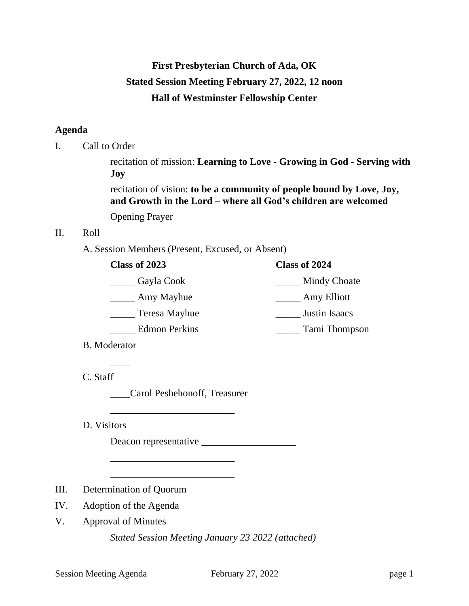# **First Presbyterian Church of Ada, OK Stated Session Meeting February 27, 2022, 12 noon Hall of Westminster Fellowship Center**

## **Agenda**

I. Call to Order

recitation of mission: **Learning to Love - Growing in God - Serving with Joy**

recitation of vision: **to be a community of people bound by Love, Joy, and Growth in the Lord – where all God's children are welcomed**

Opening Prayer

### II. Roll

A. Session Members (Present, Excused, or Absent)

| Class of 2024 |
|---------------|
| Mindy Choate  |
| Amy Elliott   |
| Justin Isaacs |
| Tami Thompson |
|               |

B. Moderator

 $\overline{\phantom{a}}$ 

C. Staff

\_\_\_\_Carol Peshehonoff, Treasurer

\_\_\_\_\_\_\_\_\_\_\_\_\_\_\_\_\_\_\_\_\_\_\_\_\_

\_\_\_\_\_\_\_\_\_\_\_\_\_\_\_\_\_\_\_\_\_\_\_\_\_

\_\_\_\_\_\_\_\_\_\_\_\_\_\_\_\_\_\_\_\_\_\_\_\_\_

D. Visitors

Deacon representative \_\_\_\_\_\_\_\_\_\_\_\_\_\_\_\_\_\_\_

- III. Determination of Quorum
- IV. Adoption of the Agenda
- V. Approval of Minutes

*Stated Session Meeting January 23 2022 (attached)*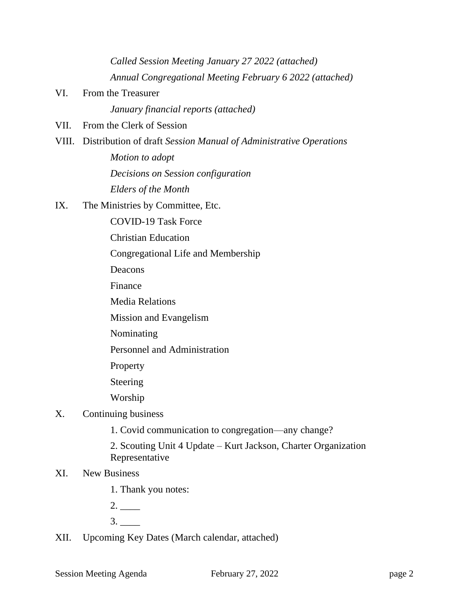*Called Session Meeting January 27 2022 (attached) Annual Congregational Meeting February 6 2022 (attached)*

VI. From the Treasurer

*January financial reports (attached)*

- VII. From the Clerk of Session
- VIII. Distribution of draft *Session Manual of Administrative Operations Motion to adopt Decisions on Session configuration Elders of the Month*
- IX. The Ministries by Committee, Etc.

COVID-19 Task Force

Christian Education

Congregational Life and Membership

Deacons

Finance

Media Relations

Mission and Evangelism

Nominating

Personnel and Administration

Property

Steering

Worship

# X. Continuing business

- 1. Covid communication to congregation—any change?
- 2. Scouting Unit 4 Update Kurt Jackson, Charter Organization Representative

#### XI. New Business

- 1. Thank you notes:
- $2.$
- 3. \_\_\_\_

XII. Upcoming Key Dates (March calendar, attached)